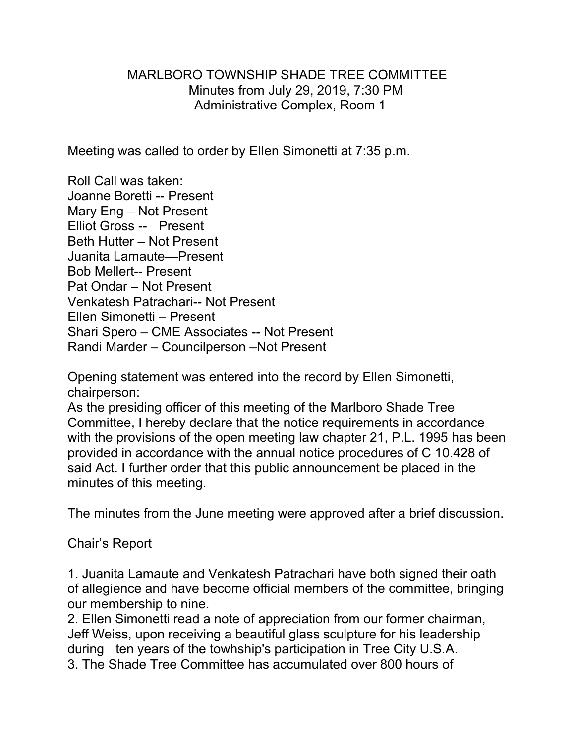# MARLBORO TOWNSHIP SHADE TREE COMMITTEE Minutes from July 29, 2019, 7:30 PM Administrative Complex, Room 1

Meeting was called to order by Ellen Simonetti at 7:35 p.m.

Roll Call was taken: Joanne Boretti -- Present Mary Eng – Not Present Elliot Gross -- Present Beth Hutter – Not Present Juanita Lamaute—Present Bob Mellert-- Present Pat Ondar – Not Present Venkatesh Patrachari-- Not Present Ellen Simonetti – Present Shari Spero – CME Associates -- Not Present Randi Marder – Councilperson –Not Present

Opening statement was entered into the record by Ellen Simonetti, chairperson:

As the presiding officer of this meeting of the Marlboro Shade Tree Committee, I hereby declare that the notice requirements in accordance with the provisions of the open meeting law chapter 21, P.L. 1995 has been provided in accordance with the annual notice procedures of C 10.428 of said Act. I further order that this public announcement be placed in the minutes of this meeting.

The minutes from the June meeting were approved after a brief discussion.

# Chair's Report

1. Juanita Lamaute and Venkatesh Patrachari have both signed their oath of allegience and have become official members of the committee, bringing our membership to nine.

2. Ellen Simonetti read a note of appreciation from our former chairman, Jeff Weiss, upon receiving a beautiful glass sculpture for his leadership during ten years of the towhship's participation in Tree City U.S.A. 3. The Shade Tree Committee has accumulated over 800 hours of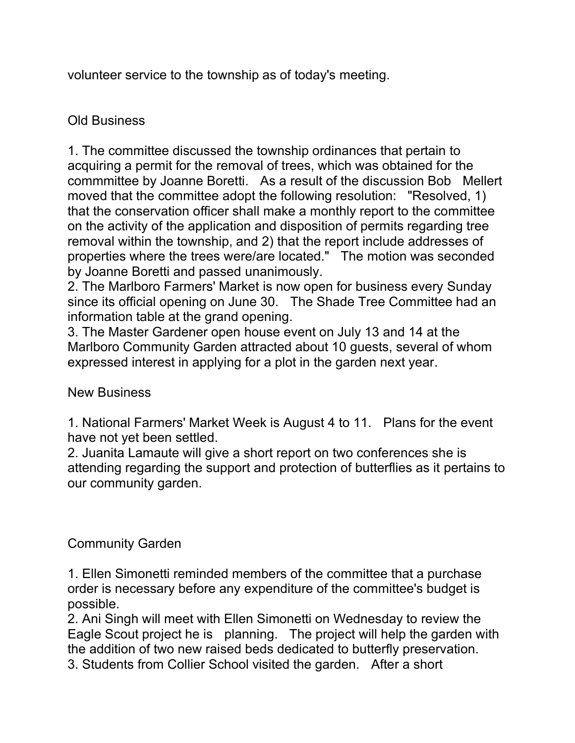volunteer service to the township as of today's meeting.

# Old Business

1. The committee discussed the township ordinances that pertain to acquiring a permit for the removal of trees, which was obtained for the commmittee by Joanne Boretti. As a result of the discussion Bob Mellert moved that the committee adopt the following resolution: "Resolved, 1) that the conservation officer shall make a monthly report to the committee on the activity of the application and disposition of permits regarding tree removal within the township, and 2) that the report include addresses of properties where the trees were/are located." The motion was seconded by Joanne Boretti and passed unanimously.

2. The Marlboro Farmers' Market is now open for business every Sunday since its official opening on June 30. The Shade Tree Committee had an information table at the grand opening.

3. The Master Gardener open house event on July 13 and 14 at the Marlboro Community Garden attracted about 10 guests, several of whom expressed interest in applying for a plot in the garden next year.

# New Business

1. National Farmers' Market Week is August 4 to 11. Plans for the event have not yet been settled.

2. Juanita Lamaute will give a short report on two conferences she is attending regarding the support and protection of butterflies as it pertains to our community garden.

# Community Garden

1. Ellen Simonetti reminded members of the committee that a purchase order is necessary before any expenditure of the committee's budget is possible.

2. Ani Singh will meet with Ellen Simonetti on Wednesday to review the Eagle Scout project he is planning. The project will help the garden with the addition of two new raised beds dedicated to butterfly preservation. 3. Students from Collier School visited the garden. After a short